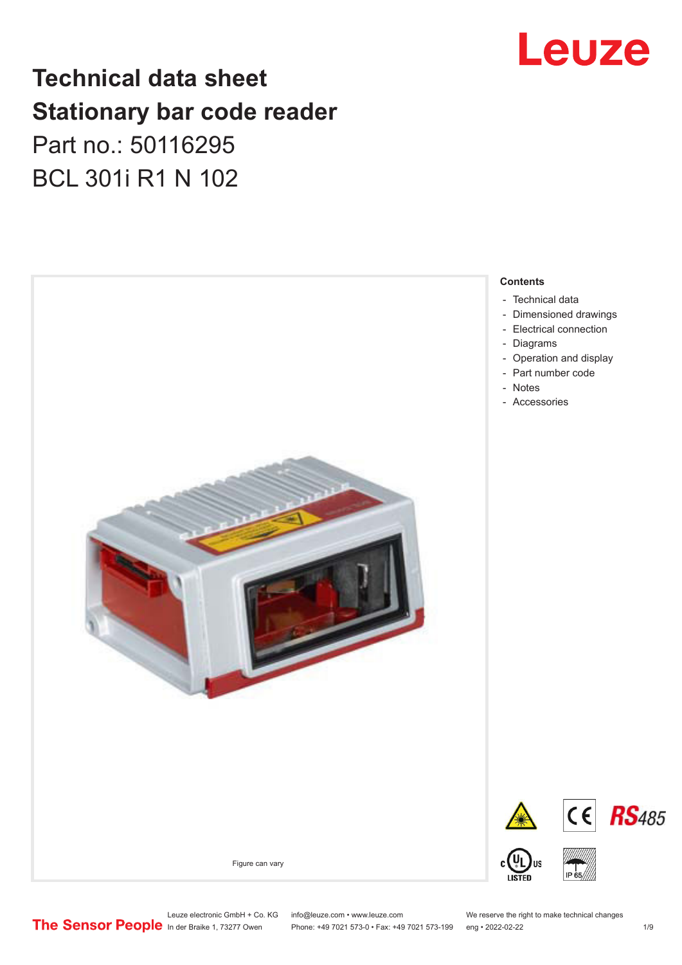# Leuze

# **Technical data sheet Stationary bar code reader** Part no.: 50116295 BCL 301i R1 N 102



Leuze electronic GmbH + Co. KG info@leuze.com • www.leuze.com We reserve the right to make technical changes<br>
The Sensor People in der Braike 1, 73277 Owen Phone: +49 7021 573-0 • Fax: +49 7021 573-199 eng • 2022-02-22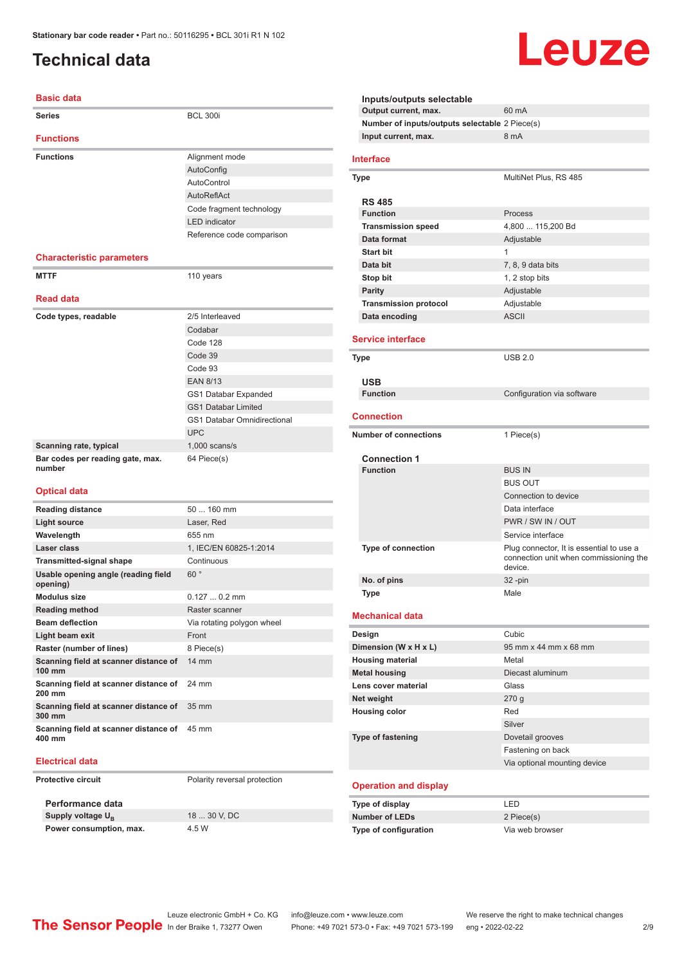# <span id="page-1-0"></span>**Technical data**

#### **Basic data**

| Series                                          | <b>BCL 300i</b>                    |  |  |
|-------------------------------------------------|------------------------------------|--|--|
| <b>Functions</b>                                |                                    |  |  |
| <b>Functions</b>                                | Alignment mode                     |  |  |
|                                                 | AutoConfig                         |  |  |
|                                                 | AutoControl                        |  |  |
|                                                 | AutoReflAct                        |  |  |
|                                                 | Code fragment technology           |  |  |
|                                                 | <b>LED</b> indicator               |  |  |
|                                                 | Reference code comparison          |  |  |
|                                                 |                                    |  |  |
| <b>Characteristic parameters</b>                |                                    |  |  |
| <b>MTTF</b>                                     | 110 years                          |  |  |
| <b>Read data</b>                                |                                    |  |  |
| Code types, readable                            | 2/5 Interleaved                    |  |  |
|                                                 | Codabar                            |  |  |
|                                                 | Code 128                           |  |  |
|                                                 | Code 39                            |  |  |
|                                                 | Code 93                            |  |  |
|                                                 | <b>EAN 8/13</b>                    |  |  |
|                                                 | <b>GS1 Databar Expanded</b>        |  |  |
|                                                 | <b>GS1 Databar Limited</b>         |  |  |
|                                                 | <b>GS1 Databar Omnidirectional</b> |  |  |
|                                                 | <b>UPC</b>                         |  |  |
| Scanning rate, typical                          | $1,000$ scans/s                    |  |  |
| Bar codes per reading gate, max.<br>number      | 64 Piece(s)                        |  |  |
|                                                 |                                    |  |  |
| <b>Optical data</b>                             |                                    |  |  |
| <b>Reading distance</b>                         | 50  160 mm                         |  |  |
| <b>Light source</b>                             | Laser, Red                         |  |  |
| Wavelength                                      | 655 nm                             |  |  |
| Laser class                                     | 1. IEC/EN 60825-1:2014             |  |  |
| <b>Transmitted-signal shape</b>                 | Continuous                         |  |  |
| Usable opening angle (reading field<br>opening) | 60°                                |  |  |
| <b>Modulus size</b>                             | $0.1270.2$ mm                      |  |  |
| <b>Reading method</b>                           | Raster scanner                     |  |  |
| <b>Beam deflection</b>                          | Via rotating polygon wheel         |  |  |
| Light beam exit                                 | Front                              |  |  |
| Raster (number of lines)                        | 8 Piece(s)                         |  |  |
| Scanning field at scanner distance of<br>100 mm | $14 \text{ mm}$                    |  |  |
| Scanning field at scanner distance of<br>200 mm | 24 mm                              |  |  |
| Scanning field at scanner distance of<br>300 mm | 35 mm                              |  |  |

#### **Electrical data**

**400 mm**

**Protective circuit** Polarity reversal protection

**Performance data Supply voltage U<sub>B</sub> Power consumption, max.** 4.5 W

**Scanning field at scanner distance of**  45 mm

18 30 V, DC

**Inputs/outputs selectable Output current, max.** 60 mA **Number of inputs/outputs selectable** 2 Piece(s) **Input current, max.** 8 mA **Interface Type** MultiNet Plus, RS 485 **RS 485 Function** Process **Transmission speed** 4,800 ... 115,200 Bd **Data format** Adjustable **Start bit** 1 **Data bit** 7, 8, 9 data bits **Stop bit** 1, 2 stop bits **Parity** Adjustable **Transmission protocol** Adjustable **Data encoding** ASCII **Service interface Type** USB 2.0 **USB Configuration** via software **Connection Number of connections** 1 Piece(s) **Connection 1 Function** BUS IN BUS OUT Connection to device Data interface PWR / SW IN / OUT Service interface **Type of connection** Plug connector, It is essential to use a connection unit when commissioning the device. **No. of pins** 32 -pin **Type** Male **Mechanical data Design Cubic Dimension (W x H x L)** 95 mm x 44 mm x 68 mm **Housing material** Metal **Metal housing Diecast aluminum Lens cover material Class Net weight** 270 g **Housing color** Red Silver **Type of fastening** Dovetail grooves Fastening on back Via optional mounting device **Operation and display Type of display** LED **Number of LEDs** 2 Piece(s) **Type of configuration** Via web browser

Leuze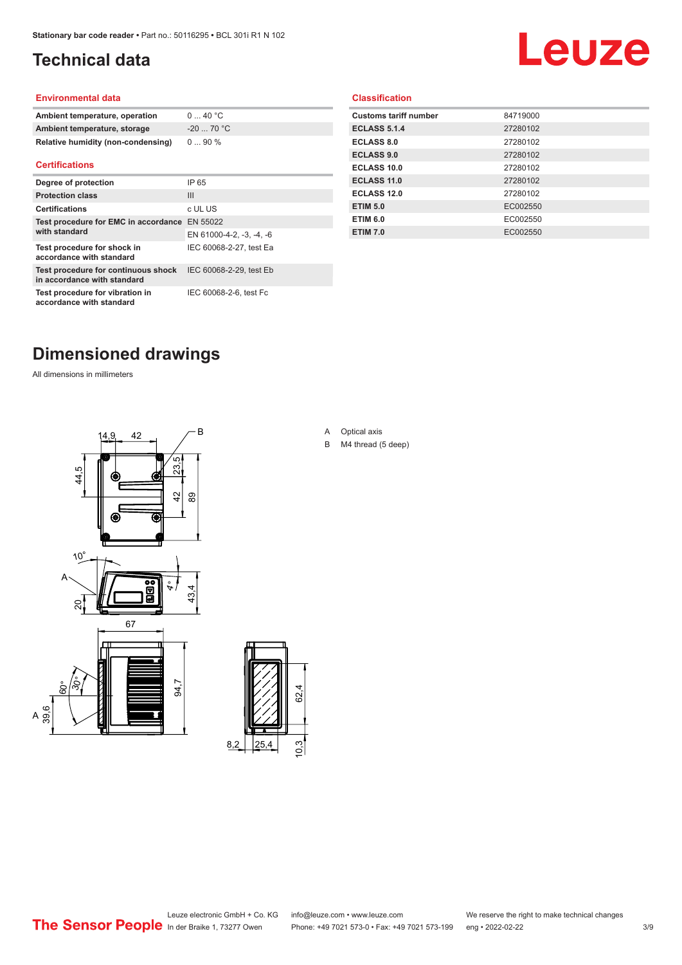## <span id="page-2-0"></span>**Technical data**

# Leuze

#### **Environmental data**

| Ambient temperature, operation     | 0  40 °C   |
|------------------------------------|------------|
| Ambient temperature, storage       | $-2070$ °C |
| Relative humidity (non-condensing) | $090\%$    |

#### **Certifications**

| Degree of protection                                               | IP 65                    |
|--------------------------------------------------------------------|--------------------------|
| <b>Protection class</b>                                            | Ш                        |
| <b>Certifications</b>                                              | c UL US                  |
| Test procedure for EMC in accordance EN 55022                      |                          |
| with standard                                                      | EN 61000-4-2, -3, -4, -6 |
| Test procedure for shock in<br>accordance with standard            | IEC 60068-2-27, test Ea  |
| Test procedure for continuous shock<br>in accordance with standard | IEC 60068-2-29, test Eb  |
| Test procedure for vibration in<br>accordance with standard        | IEC 60068-2-6, test Fc   |

#### **Classification**

| <b>Customs tariff number</b> | 84719000 |
|------------------------------|----------|
| <b>ECLASS 5.1.4</b>          | 27280102 |
| <b>ECLASS 8.0</b>            | 27280102 |
| <b>ECLASS 9.0</b>            | 27280102 |
| ECLASS 10.0                  | 27280102 |
| <b>ECLASS 11.0</b>           | 27280102 |
| ECLASS 12.0                  | 27280102 |
| <b>ETIM 5.0</b>              | EC002550 |
| <b>ETIM 6.0</b>              | EC002550 |
| <b>ETIM 7.0</b>              | EC002550 |
|                              |          |

# **Dimensioned drawings**

All dimensions in millimeters





A Optical axis

B M4 thread (5 deep)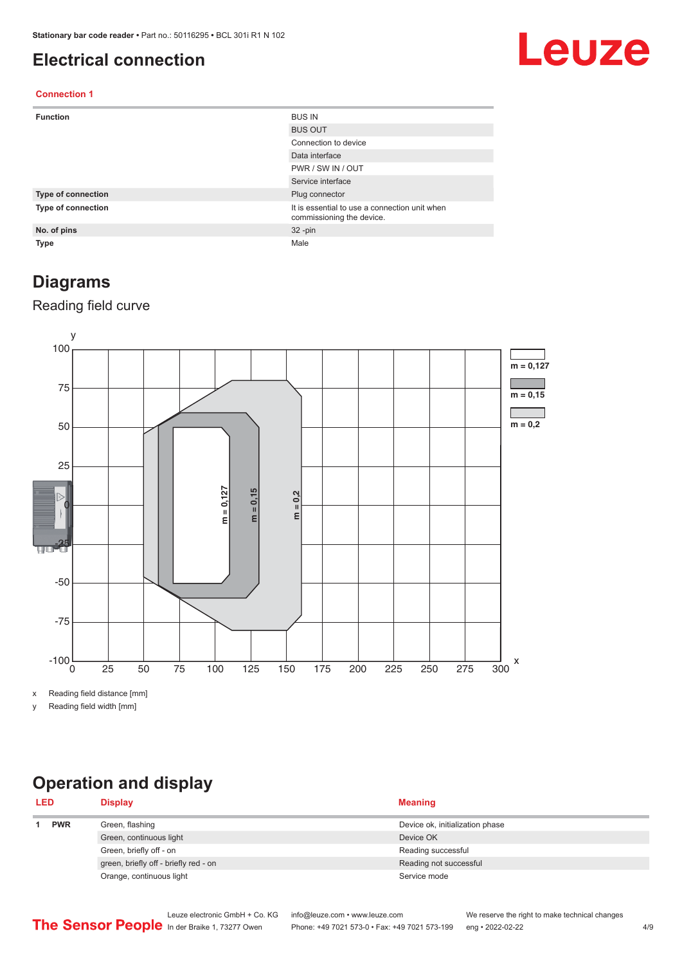### <span id="page-3-0"></span>**Electrical connection**

# Leuze

#### **Connection 1**

| <b>Function</b>    | <b>BUS IN</b>                                                              |
|--------------------|----------------------------------------------------------------------------|
|                    | <b>BUS OUT</b>                                                             |
|                    | Connection to device                                                       |
|                    | Data interface                                                             |
|                    | PWR / SW IN / OUT                                                          |
|                    | Service interface                                                          |
| Type of connection | Plug connector                                                             |
| Type of connection | It is essential to use a connection unit when<br>commissioning the device. |
| No. of pins        | $32 - pin$                                                                 |
| Type               | Male                                                                       |

#### **Diagrams**

#### Reading field curve



x Reading field distance [mm]

y Reading field width [mm]

# **Operation and display**

| <b>LED</b> |  | <b>Display</b>                        | <b>Meaning</b>                  |
|------------|--|---------------------------------------|---------------------------------|
| <b>PWR</b> |  | Green, flashing                       | Device ok, initialization phase |
|            |  | Green, continuous light               | Device OK                       |
|            |  | Green, briefly off - on               | Reading successful              |
|            |  | green, briefly off - briefly red - on | Reading not successful          |
|            |  | Orange, continuous light              | Service mode                    |
|            |  |                                       |                                 |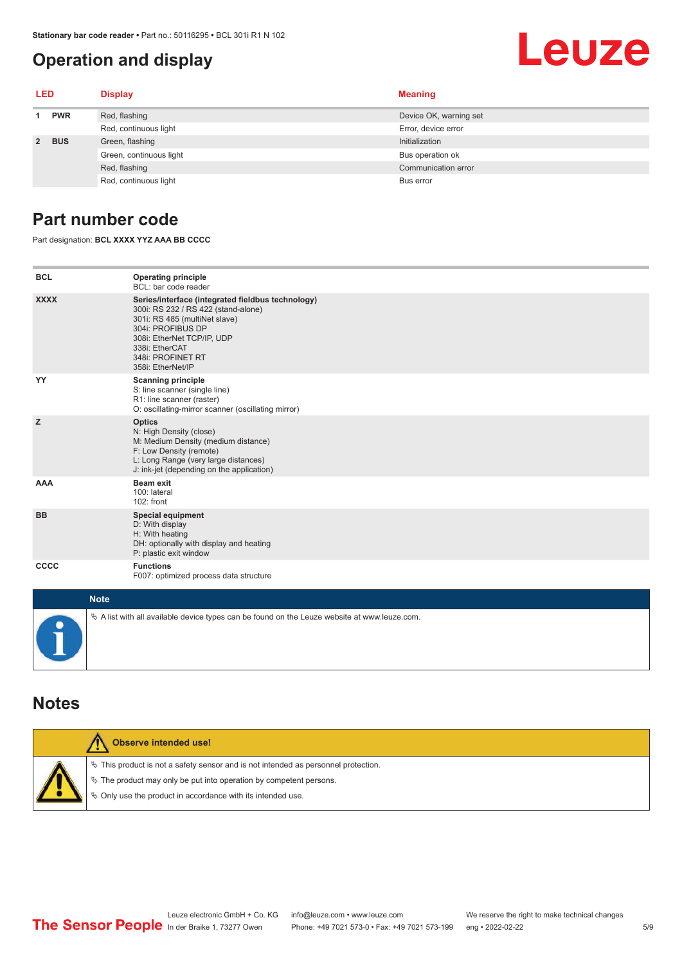### <span id="page-4-0"></span>**Operation and display**

# Leuze

| LED         |            | <b>Display</b>          | <b>Meaning</b>         |
|-------------|------------|-------------------------|------------------------|
| <b>PWR</b>  |            | Red, flashing           | Device OK, warning set |
|             |            | Red, continuous light   | Error, device error    |
| $2^{\circ}$ | <b>BUS</b> | Green, flashing         | Initialization         |
|             |            | Green, continuous light | Bus operation ok       |
|             |            | Red, flashing           | Communication error    |
|             |            | Red, continuous light   | Bus error              |

### **Part number code**

Part designation: **BCL XXXX YYZ AAA BB CCCC**

| <b>BCL</b>  | <b>Operating principle</b><br>BCL: bar code reader                                                                                                                                                                                       |
|-------------|------------------------------------------------------------------------------------------------------------------------------------------------------------------------------------------------------------------------------------------|
| <b>XXXX</b> | Series/interface (integrated fieldbus technology)<br>300i: RS 232 / RS 422 (stand-alone)<br>301i: RS 485 (multiNet slave)<br>304i: PROFIBUS DP<br>308i: EtherNet TCP/IP, UDP<br>338i: EtherCAT<br>348i: PROFINET RT<br>358i: EtherNet/IP |
| YY          | <b>Scanning principle</b><br>S: line scanner (single line)<br>R1: line scanner (raster)<br>O: oscillating-mirror scanner (oscillating mirror)                                                                                            |
| z           | <b>Optics</b><br>N: High Density (close)<br>M: Medium Density (medium distance)<br>F: Low Density (remote)<br>L: Long Range (very large distances)<br>J: ink-jet (depending on the application)                                          |
| <b>AAA</b>  | <b>Beam exit</b><br>100: lateral<br>102: front                                                                                                                                                                                           |
| <b>BB</b>   | <b>Special equipment</b><br>D: With display<br>H: With heating<br>DH: optionally with display and heating<br>P: plastic exit window                                                                                                      |
| CCCC        | <b>Functions</b><br>F007: optimized process data structure                                                                                                                                                                               |
| $1.1 - 4.1$ |                                                                                                                                                                                                                                          |

| <b>Note</b>                                                                                       |
|---------------------------------------------------------------------------------------------------|
| $\phi$ A list with all available device types can be found on the Leuze website at www.leuze.com. |

#### **Notes**

| <b>Observe intended use!</b>                                                                                                                                                                                                  |
|-------------------------------------------------------------------------------------------------------------------------------------------------------------------------------------------------------------------------------|
| $\%$ This product is not a safety sensor and is not intended as personnel protection.<br>$\%$ The product may only be put into operation by competent persons.<br>₿ Only use the product in accordance with its intended use. |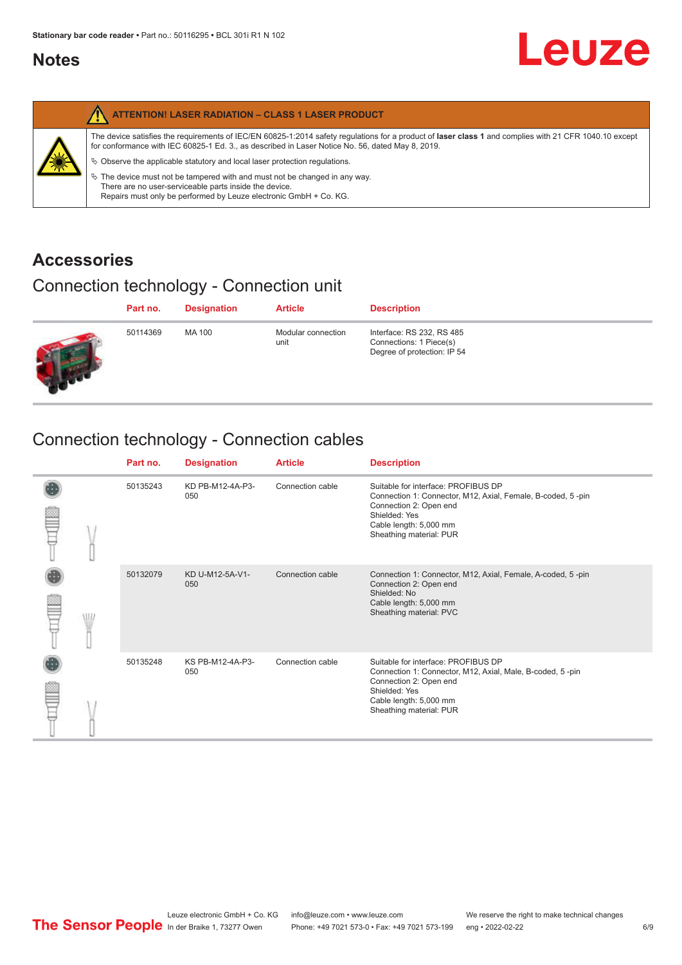### <span id="page-5-0"></span>**Notes**

|   | <b>ATTENTION! LASER RADIATION - CLASS 1 LASER PRODUCT</b>                                                                                                                                                                                                                                                                                                                                                                                                                                                                                                   |
|---|-------------------------------------------------------------------------------------------------------------------------------------------------------------------------------------------------------------------------------------------------------------------------------------------------------------------------------------------------------------------------------------------------------------------------------------------------------------------------------------------------------------------------------------------------------------|
| 纂 | The device satisfies the requirements of IEC/EN 60825-1:2014 safety regulations for a product of laser class 1 and complies with 21 CFR 1040.10 except<br>for conformance with IEC 60825-1 Ed. 3., as described in Laser Notice No. 56, dated May 8, 2019.<br>$\&$ Observe the applicable statutory and local laser protection regulations.<br>$\%$ The device must not be tampered with and must not be changed in any way.<br>There are no user-serviceable parts inside the device.<br>Repairs must only be performed by Leuze electronic GmbH + Co. KG. |

### **Accessories**

# Connection technology - Connection unit

| Part no. | <b>Designation</b> | <b>Article</b>             | <b>Description</b>                                                                  |
|----------|--------------------|----------------------------|-------------------------------------------------------------------------------------|
| 50114369 | MA 100             | Modular connection<br>unit | Interface: RS 232, RS 485<br>Connections: 1 Piece(s)<br>Degree of protection: IP 54 |

# Connection technology - Connection cables

|   | Part no. | <b>Designation</b>      | <b>Article</b>   | <b>Description</b>                                                                                                                                                                                 |
|---|----------|-------------------------|------------------|----------------------------------------------------------------------------------------------------------------------------------------------------------------------------------------------------|
|   | 50135243 | KD PB-M12-4A-P3-<br>050 | Connection cable | Suitable for interface: PROFIBUS DP<br>Connection 1: Connector, M12, Axial, Female, B-coded, 5-pin<br>Connection 2: Open end<br>Shielded: Yes<br>Cable length: 5,000 mm<br>Sheathing material: PUR |
| W | 50132079 | KD U-M12-5A-V1-<br>050  | Connection cable | Connection 1: Connector, M12, Axial, Female, A-coded, 5-pin<br>Connection 2: Open end<br>Shielded: No<br>Cable length: 5,000 mm<br>Sheathing material: PVC                                         |
|   | 50135248 | KS PB-M12-4A-P3-<br>050 | Connection cable | Suitable for interface: PROFIBUS DP<br>Connection 1: Connector, M12, Axial, Male, B-coded, 5-pin<br>Connection 2: Open end<br>Shielded: Yes<br>Cable length: 5,000 mm<br>Sheathing material: PUR   |

**Leuze**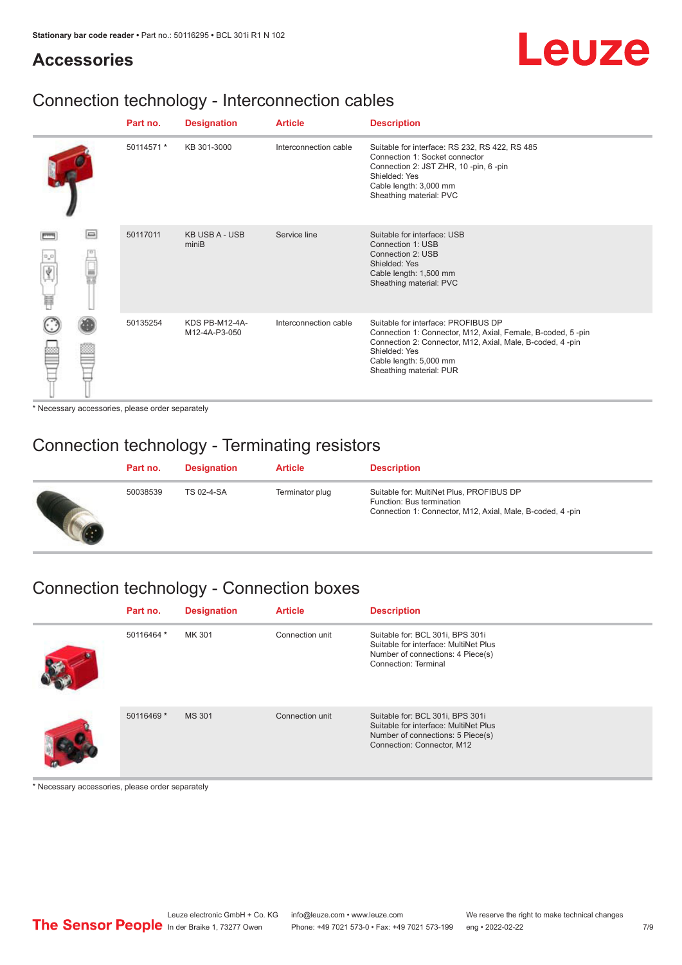# Leuze

### **Accessories**

## Connection technology - Interconnection cables

|                       |        | Part no.   | <b>Designation</b>              | <b>Article</b>        | <b>Description</b>                                                                                                                                                                                                                    |
|-----------------------|--------|------------|---------------------------------|-----------------------|---------------------------------------------------------------------------------------------------------------------------------------------------------------------------------------------------------------------------------------|
|                       |        | 50114571 * | KB 301-3000                     | Interconnection cable | Suitable for interface: RS 232, RS 422, RS 485<br>Connection 1: Socket connector<br>Connection 2: JST ZHR, 10 -pin, 6 -pin<br>Shielded: Yes<br>Cable length: 3,000 mm<br>Sheathing material: PVC                                      |
| $\sigma^2\sigma$<br>肩 | $\Box$ | 50117011   | <b>KB USB A - USB</b><br>miniB  | Service line          | Suitable for interface: USB<br>Connection 1: USB<br>Connection 2: USB<br>Shielded: Yes<br>Cable length: 1,500 mm<br>Sheathing material: PVC                                                                                           |
|                       |        | 50135254   | KDS PB-M12-4A-<br>M12-4A-P3-050 | Interconnection cable | Suitable for interface: PROFIBUS DP<br>Connection 1: Connector, M12, Axial, Female, B-coded, 5-pin<br>Connection 2: Connector, M12, Axial, Male, B-coded, 4-pin<br>Shielded: Yes<br>Cable length: 5,000 mm<br>Sheathing material: PUR |

\* Necessary accessories, please order separately

## Connection technology - Terminating resistors

| Part no. | <b>Designation</b> | <b>Article</b>  | <b>Description</b>                                                                                                                 |
|----------|--------------------|-----------------|------------------------------------------------------------------------------------------------------------------------------------|
| 50038539 | TS 02-4-SA         | Terminator plug | Suitable for: MultiNet Plus, PROFIBUS DP<br>Function: Bus termination<br>Connection 1: Connector, M12, Axial, Male, B-coded, 4-pin |

# Connection technology - Connection boxes

| Part no.   | <b>Designation</b> | <b>Article</b>  | <b>Description</b>                                                                                                                           |
|------------|--------------------|-----------------|----------------------------------------------------------------------------------------------------------------------------------------------|
| 50116464 * | MK 301             | Connection unit | Suitable for: BCL 301i, BPS 301i<br>Suitable for interface: MultiNet Plus<br>Number of connections: 4 Piece(s)<br>Connection: Terminal       |
| 50116469 * | <b>MS 301</b>      | Connection unit | Suitable for: BCL 301i, BPS 301i<br>Suitable for interface: MultiNet Plus<br>Number of connections: 5 Piece(s)<br>Connection: Connector, M12 |

\* Necessary accessories, please order separately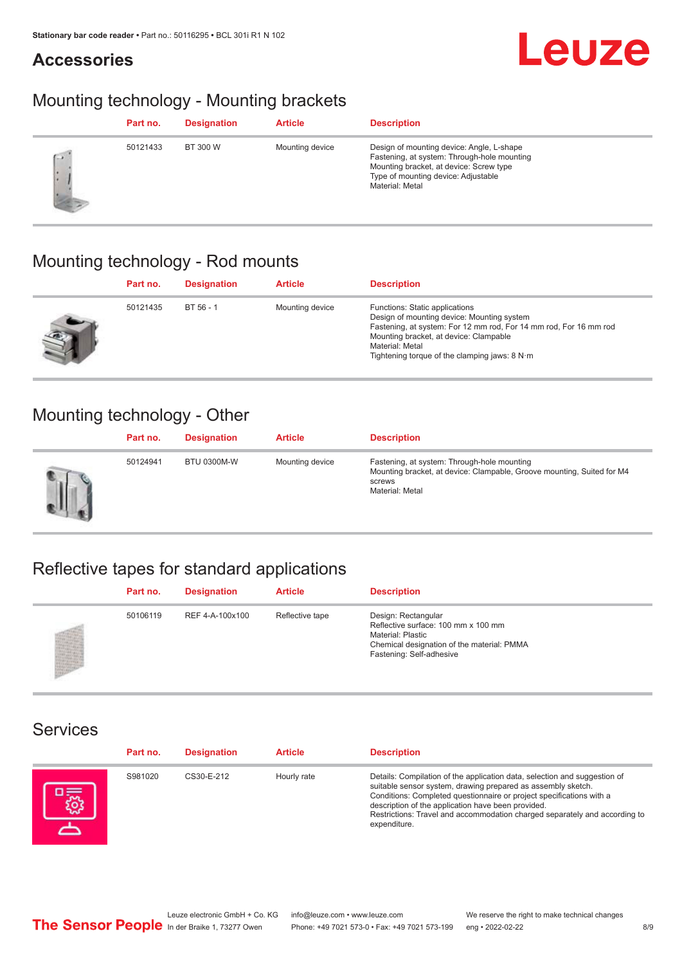### **Accessories**



## Mounting technology - Mounting brackets

|           | Part no. | <b>Designation</b> | <b>Article</b>  | <b>Description</b>                                                                                                                                                                            |
|-----------|----------|--------------------|-----------------|-----------------------------------------------------------------------------------------------------------------------------------------------------------------------------------------------|
| <b>CV</b> | 50121433 | BT 300 W           | Mounting device | Design of mounting device: Angle, L-shape<br>Fastening, at system: Through-hole mounting<br>Mounting bracket, at device: Screw type<br>Type of mounting device: Adjustable<br>Material: Metal |

## Mounting technology - Rod mounts

| Part no. | <b>Designation</b> | <b>Article</b>  | <b>Description</b>                                                                                                                                                                                                                                                |
|----------|--------------------|-----------------|-------------------------------------------------------------------------------------------------------------------------------------------------------------------------------------------------------------------------------------------------------------------|
| 50121435 | BT 56 - 1          | Mounting device | Functions: Static applications<br>Design of mounting device: Mounting system<br>Fastening, at system: For 12 mm rod, For 14 mm rod, For 16 mm rod<br>Mounting bracket, at device: Clampable<br>Material: Metal<br>Tightening torque of the clamping jaws: $8 N·m$ |

### Mounting technology - Other

|   | Part no. | <b>Designation</b> | <b>Article</b>  | <b>Description</b>                                                                                                                                 |
|---|----------|--------------------|-----------------|----------------------------------------------------------------------------------------------------------------------------------------------------|
| Ш | 50124941 | <b>BTU 0300M-W</b> | Mounting device | Fastening, at system: Through-hole mounting<br>Mounting bracket, at device: Clampable, Groove mounting, Suited for M4<br>screws<br>Material: Metal |

# Reflective tapes for standard applications

| Part no. | <b>Designation</b> | <b>Article</b>  | <b>Description</b>                                                                                                                                               |
|----------|--------------------|-----------------|------------------------------------------------------------------------------------------------------------------------------------------------------------------|
| 50106119 | REF 4-A-100x100    | Reflective tape | Design: Rectangular<br>Reflective surface: 100 mm x 100 mm<br><b>Material: Plastic</b><br>Chemical designation of the material: PMMA<br>Fastening: Self-adhesive |

#### Services

| Part no. | <b>Designation</b> | <b>Article</b> | <b>Description</b>                                                                                                                                                                                                                                                                                                                                                    |
|----------|--------------------|----------------|-----------------------------------------------------------------------------------------------------------------------------------------------------------------------------------------------------------------------------------------------------------------------------------------------------------------------------------------------------------------------|
| S981020  | CS30-E-212         | Hourly rate    | Details: Compilation of the application data, selection and suggestion of<br>suitable sensor system, drawing prepared as assembly sketch.<br>Conditions: Completed questionnaire or project specifications with a<br>description of the application have been provided.<br>Restrictions: Travel and accommodation charged separately and according to<br>expenditure. |